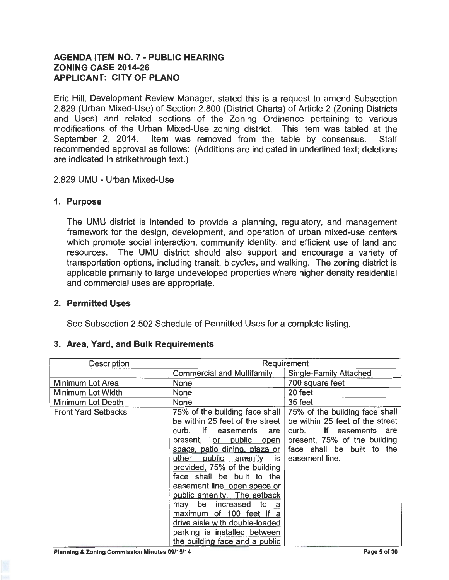# **AGENDA ITEM NO. 7 - PUBLIC HEARING ZONING CASE 2014-26 APPLICANT: CITY OF PLANO**

Eric Hill, Development Review Manager, stated this is a request to amend Subsection 2.829 (Urban Mixed-Use) of Section 2.800 (District Charts) of Article 2 (Zoning Districts and Uses) and related sections of the Zoning Ordinance pertaining to various modifications of the Urban Mixed-Use zoning district. This item was tabled at the September 2, 2014. Item was removed from the table by consensus. Staff recommended approval as follows: (Additions are indicated in underlined text; deletions are indicated in strikethrough text.)

#### 2.829 UMU - Urban Mixed-Use

#### **1. Purpose**

The UMU district is intended to provide a planning, regulatory, and management framework for the design, development, and operation of urban mixed-use centers which promote social interaction, community identity, and efficient use of land and resources. The UMU district should also support and encourage a variety of transportation options, including transit, bicycles, and walking. The zoning district is applicable primarily to large undeveloped properties where higher density residential and commercial uses are appropriate.

## **2. Permitted Uses**

See Subsection 2.502 Schedule of Permitted Uses for a complete listing.

## **3. Area, Yard, and Bulk Requirements**

| <b>Description</b>         | Requirement                                                                                                                                                                                                                                                                                                                                                                                                                                                                    |                                                                                                                                                                                |
|----------------------------|--------------------------------------------------------------------------------------------------------------------------------------------------------------------------------------------------------------------------------------------------------------------------------------------------------------------------------------------------------------------------------------------------------------------------------------------------------------------------------|--------------------------------------------------------------------------------------------------------------------------------------------------------------------------------|
|                            | <b>Commercial and Multifamily</b>                                                                                                                                                                                                                                                                                                                                                                                                                                              | <b>Single-Family Attached</b>                                                                                                                                                  |
| <b>Minimum Lot Area</b>    | None                                                                                                                                                                                                                                                                                                                                                                                                                                                                           | 700 square feet                                                                                                                                                                |
| <b>Minimum Lot Width</b>   | <b>None</b>                                                                                                                                                                                                                                                                                                                                                                                                                                                                    | 20 feet                                                                                                                                                                        |
| Minimum Lot Depth          | None                                                                                                                                                                                                                                                                                                                                                                                                                                                                           | 35 feet                                                                                                                                                                        |
| <b>Front Yard Setbacks</b> | 75% of the building face shall<br>be within 25 feet of the street  <br>curb. If easements are<br>present, or public open<br>space, patio dining, plaza or<br>other public amenity is<br>provided, 75% of the building<br>face shall be built to the<br>easement line, open space or<br>public amenity. The setback<br>may be increased<br>to a<br>maximum of 100 feet if a<br>drive aisle with double-loaded<br>parking is installed between<br>the building face and a public | 75% of the building face shall<br>be within 25 feet of the street<br>If easements are<br>curb.<br>present, 75% of the building<br>face shall be built to the<br>easement line. |

Planning & Zoning Commission Minutes 09/15/14 Page 5 of 30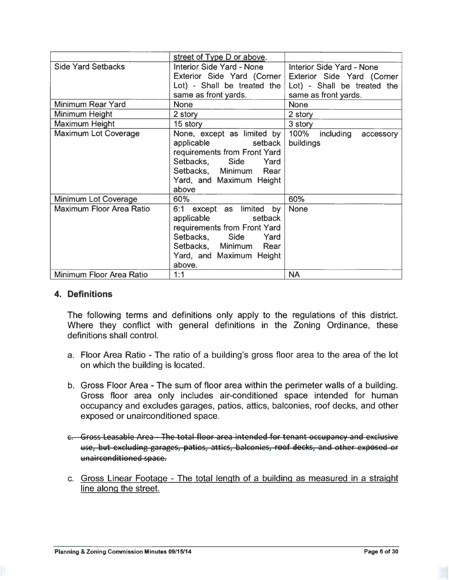|                             | street of Type D or above.       |                             |  |
|-----------------------------|----------------------------------|-----------------------------|--|
| <b>Side Yard Setbacks</b>   | <b>Interior Side Yard - None</b> | Interior Side Yard - None   |  |
|                             | Exterior Side Yard (Corner       | Exterior Side Yard (Corner  |  |
|                             | Lot) - Shall be treated the $ $  | Lot) - Shall be treated the |  |
|                             | same as front yards.             | same as front yards.        |  |
| Minimum Rear Yard           | <b>None</b>                      | <b>None</b>                 |  |
| Minimum Height              | 2 story                          | 2 story                     |  |
| Maximum Height              | 15 story                         | 3 story                     |  |
| <b>Maximum Lot Coverage</b> | None, except as limited by       | 100% including<br>accessory |  |
|                             | applicable<br>setback            | buildings                   |  |
|                             | requirements from Front Yard     |                             |  |
|                             | Setbacks, Side<br>Yard           |                             |  |
|                             | Setbacks, Minimum Rear           |                             |  |
|                             | Yard, and Maximum Height         |                             |  |
|                             | above                            |                             |  |
| Minimum Lot Coverage        | 60%                              | 60%                         |  |
| Maximum Floor Area Ratio    | 6:1 except as limited by         | <b>None</b>                 |  |
|                             | applicable<br>setback            |                             |  |
|                             | requirements from Front Yard     |                             |  |
|                             | Setbacks, Side<br>Yard           |                             |  |
|                             | Setbacks, Minimum Rear           |                             |  |
|                             | Yard, and Maximum Height         |                             |  |
|                             | above.                           |                             |  |
| Minimum Floor Area Ratio    | 1:1                              | <b>NA</b>                   |  |

#### **4. Definitions**

The following terms and definitions only apply to the regulations of this district. Where they conflict with general definitions in the Zoning Ordinance, these definitions shall control.

- a. Floor Area Ratio The ratio of a building's gross floor area to the area of the lot on which the building is located.
- b. Gross Floor Area The sum of floor area within the perimeter walls of a building. Gross floor area only includes air-conditioned space intended for human occupancy and excludes garages, patios, attics, balconies, roof decks, and other exposed or unairconditioned space.
- e. Gross Leasable Area The total floor area intended for tenant occupancy and exclusive use, but excluding garages, patios, attics, balconies, roof decks, and other exposed or unairconditioned space.
- c. Gross Linear Footage The total length of a building as measured in a straight line along the street.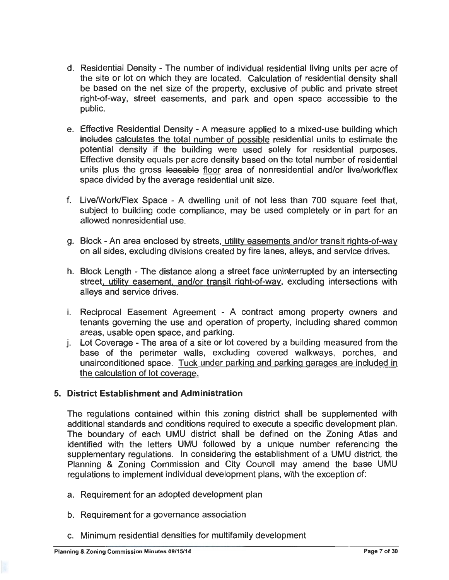- d. Residential Density The number of individual residential living units per acre of the site or lot on which they are located. Calculation of residential density shall be based on the net size of the property, exclusive of public and private street right-of-way, street easements, and park and open space accessible to the public.
- e. Effective Residential Density A measure applied to a mixed-use building which includes calculates the total number of possible residential units to estimate the potential density if the building were used solely for residential purposes. Effective density equals per acre density based on the total number of residential units plus the gross leasable floor area of nonresidential and/or live/work/flex space divided by the average residential unit size.
- f. Live/Work/Flex Space A dwelling unit of not less than 700 square feet that, subject to building code compliance, may be used completely or in part for an allowed nonresidential use.
- g. Block An area enclosed by streets, utility easements and/or transit rights-of-way on all sides, excluding divisions created by fire lanes, alleys, and service drives.
- h. Block Length The distance along a street face uninterrupted by an intersecting street. utility easement. and/or transit right-of-way, excluding intersections with alleys and service drives.
- i. Reciprocal Easement Agreement A contract among property owners and tenants governing the use and operation of property, including shared common areas, usable open space, and parking.
- j. Lot Coverage The area of a site or lot covered by a building measured from the base of the perimeter walls, excluding covered walkways, porches, and unairconditioned space. Tuck under parking and parking garages are included in the calculation of lot coverage.

## **5. District Establishment and Administration**

The regulations contained within this zoning district shall be supplemented with additional standards and conditions required to execute a specific development plan. The boundary of each UMU district shall be defined on the Zoning Atlas and identified with the letters UMU followed by a unique number referencing the supplementary regulations. In considering the establishment of a UMU district, the Planning & Zoning Commission and City Council may amend the base UMU regulations to implement individual development plans, with the exception of:

- a. Requirement for an adopted development plan
- b. Requirement for a governance association
- c. Minimum residential densities for multifamily development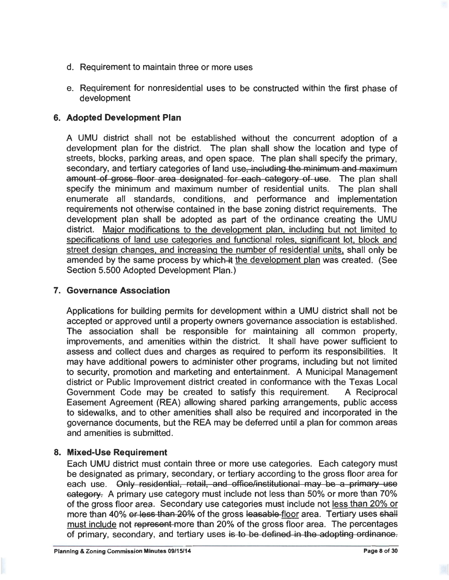- d. Requirement to maintain three or more uses
- e. Requirement for nonresidential uses to be constructed within the first phase of development

# **6. Adopted Development Plan**

A UMU district shall not be established without the concurrent adoption of a development plan for the district. The plan shall show the location and type of streets, blocks, parking areas, and open space. The plan shall specify the primary, secondary, and tertiary categories of land use, including the minimum and maximum amount of gross floor area designated for each category of use. The plan shall specify the minimum and maximum number of residential units. The plan shall enumerate all standards, conditions, and performance and implementation requirements not otherwise contained in the base zoning district requirements. The development plan shall be adopted as part of the ordinance creating the UMU district. Major modifications to the development plan. including but not limited to specifications of land use categories and functional roles, significant lot, block and street design changes, and increasing the number of residential units, shall only be amended by the same process by which-it the development plan was created. (See Section 5.500 Adopted Development Plan.)

# **7. Governance Association**

Applications for building permits for development within a UMU district shall not be accepted or approved until a property owners governance association is established. The association shall be responsible for maintaining all common property, improvements, and amenities within the district. It shall have power sufficient to assess and collect dues and charges as required to perform its responsibilities. It may have additional powers to administer other programs, including but not limited to security, promotion and marketing and entertainment. A Municipal Management district or Public Improvement district created in conformance with the Texas Local Government Code may be created to satisfy this requirement. A Reciprocal Easement Agreement (REA) allowing shared parking arrangements, public access to sidewalks, and to other amenities shall also be required and incorporated in the governance documents, but the REA may be deferred until a plan for common areas and amenities is submitted.

## **8. Mixed-Use Requirement**

Each UMU district must contain three or more use categories. Each category must be designated as primary, secondary, or tertiary according to the gross floor area for each use. Only residential, retail, and office/institutional may be a primary use category. A primary use category must include not less than 50% or more than 70% of the gross floor area. Secondary use categories must include not less than 20% or more than 40% or less than 20% of the gross leasable floor area. Tertiary uses shall must include not represent more than 20% of the gross floor area. The percentages of primary, secondary, and tertiary uses is to be defined in the adopting ordinance.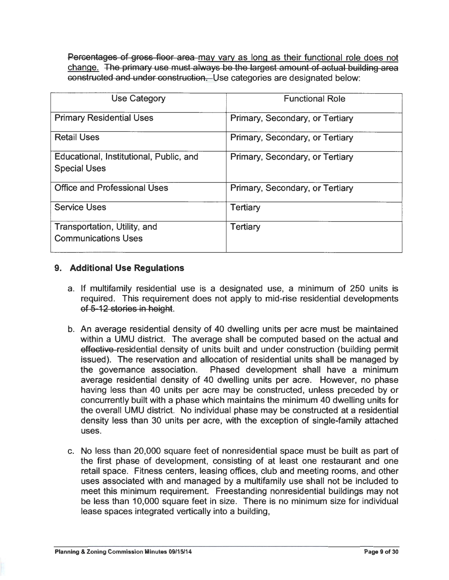Percentages of gross floor area may vary as long as their functional role does not change. The primary use must always be the largest amount of actual building area constructed and under construction. Use categories are designated below:

| <b>Use Category</b>                                            | <b>Functional Role</b>          |
|----------------------------------------------------------------|---------------------------------|
| <b>Primary Residential Uses</b>                                | Primary, Secondary, or Tertiary |
| <b>Retail Uses</b>                                             | Primary, Secondary, or Tertiary |
| Educational, Institutional, Public, and<br><b>Special Uses</b> | Primary, Secondary, or Tertiary |
| <b>Office and Professional Uses</b>                            | Primary, Secondary, or Tertiary |
| <b>Service Uses</b>                                            | Tertiary                        |
| Transportation, Utility, and<br><b>Communications Uses</b>     | <b>Tertiary</b>                 |

# **9. Additional Use Regulations**

- a. If multifamily residential use is a designated use, a minimum of 250 units is required. This requirement does not apply to mid-rise residential developments of 5-12 stories in height.
- b. An average residential density of 40 dwelling units per acre must be maintained within a UMU district. The average shall be computed based on the actual and effective-residential density of units built and under construction (building permit issued). The reservation and allocation of residential units shall be managed by the governance association. Phased development shall have a minimum average residential density of 40 dwelling units per acre. However, no phase having less than 40 units per acre may be constructed, unless preceded by or concurrently built with a phase which maintains the minimum 40 dwelling units for the overall UMU district. No individual phase may be constructed at a residential density less than 30 units per acre, with the exception of single-family attached uses.
- c. No less than 20,000 square feet of nonresidential space must be built as part of the first phase of development, consisting of at least one restaurant and one retail space. Fitness centers, leasing offices, club and meeting rooms, and other uses associated with and managed by a multifamily use shall not be included to meet this minimum requirement. Freestanding nonresidential buildings may not be less than 10,000 square feet in size. There is no minimum size for individual lease spaces integrated vertically into a building,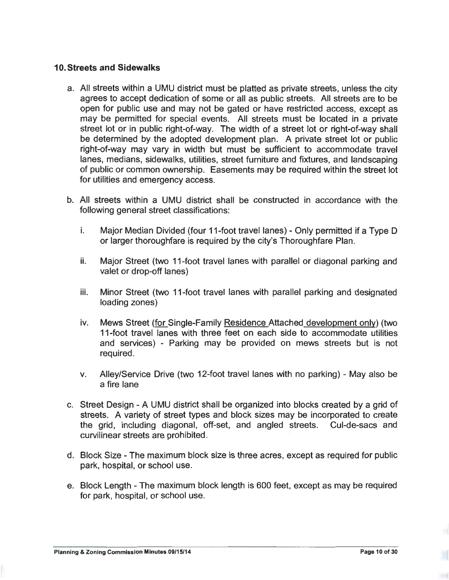#### **10. Streets and Sidewalks**

- a. All streets within a UMU district must be platted as private streets, unless the city agrees to accept dedication of some or all as public streets. All streets are to be open for public use and may not be gated or have restricted access, except as may be permitted for special events. All streets must be located in a private street lot or in public right-of-way. The width of a street lot or right-of-way shall be determined by the adopted development plan. A private street lot or public right-of-way may vary in width but must be sufficient to accommodate travel lanes, medians, sidewalks, utilities, street furniture and fixtures, and landscaping of public or common ownership. Easements may be required within the street lot for utilities and emergency access.
- b. All streets within a UMU district shall be constructed in accordance with the following general street classifications:
	- i. Major Median Divided (four 11-foot travel lanes) Only permitted if a Type D or larger thoroughfare is required by the city's Thoroughfare Plan.
	- ii. Major Street (two 11-foot travel lanes with parallel or diagonal parking and valet or drop-off lanes)
	- iii. Minor Street (two 11-foot travel lanes with parallel parking and designated loading zones)
	- iv. Mews Street (for Single-Family Residence Attached development only) (two 11-foot travel lanes with three feet on each side to accommodate utilities and services) - Parking may be provided on mews streets but is not required.
	- v. Alley/Service Drive (two 12-foot travel lanes with no parking) May also be a fire lane
- c. Street Design A UMU district shall be organized into blocks created by a grid of streets. A variety of street types and block sizes may be incorporated to create the grid, including diagonal, off-set, and angled streets. Cul-de-sacs and curvilinear streets are prohibited.
- d. Block Size The maximum block size is three acres, except as required for public park, hospital, or school use.
- e. Block Length The maximum block length is 600 feet, except as may be required for park, hospital, or school use.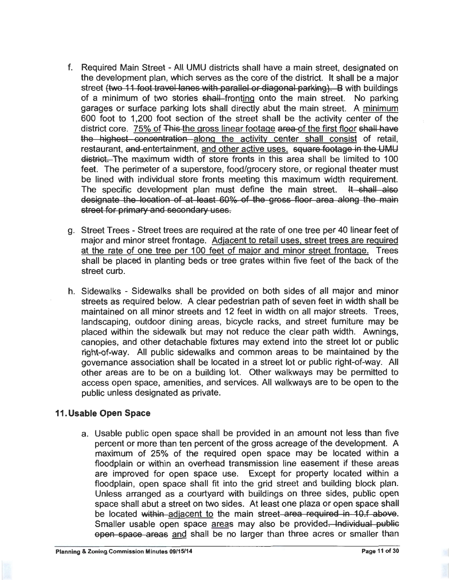- f. Required Main Street All UMU districts shall have a main street, designated on the development plan, which serves as the core of the district. It shall be a major street <del>(two 11 foot travel lanes with parallel or diagonal parking). B</del> with buildings of a minimum of two stories shall fronting onto the main street. No parking garages or surface parking lots shall directly abut the main street. A minimum 600 foot to 1,200 foot section of the street shall be the activity center of the district core. 75% of This the gross linear footage area of the first floor shall have the highest concentration along the activity center shall consist of retail, restaurant, and entertainment, and other active uses. square footage in the UMU district. The maximum width of store fronts in this area shall be limited to 100 feet. The perimeter of a superstore, food/grocery store, or regional theater must be lined with individual store fronts meeting this maximum width requirement. The specific development plan must define the main street. It shall also designate the location of at least 60% of the gross floor area along the main street for primary and secondary uses.
- g. Street Trees Street trees are required at the rate of one tree per 40 linear feet of major and minor street frontage. Adjacent to retail uses, street trees are required at the rate of one tree per 100 feet of major and minor street frontage. Trees shall be placed in planting beds or tree grates within five feet of the back of the street curb.
- h. Sidewalks Sidewalks shall be provided on both sides of all major and minor streets as required below. A clear pedestrian path of seven feet in width shall be maintained on all minor streets and 12 feet in width on all major streets. Trees, landscaping, outdoor dining areas, bicycle racks, and street furniture may be placed within the sidewalk but may not reduce the clear path width. Awnings, canopies, and other detachable fixtures may extend into the street lot or public right-of-way. All public sidewalks and common areas to be maintained by the governance association shall be located in a street lot or public right-of-way. All other areas are to be on a building lot. Other walkways may be permitted to access open space, amenities, and services. All walkways are to be open to the public unless designated as private.

## **11. Usable Open Space**

a. Usable public open space shall be provided in an amount not less than five percent or more than ten percent of the gross acreage of the development. A maximum of 25% of the required open space may be located within a floodplain or within an overhead transmission line easement if these areas are improved for open space use. Except for property located within a floodplain, open space shall fit into the grid street and building block plan. Unless arranged as a courtyard with buildings on three sides, public open space shall abut a street on two sides. At least one plaza or open space shall be located within adjacent to the main street area required in 10.f above. Smaller usable open space areas may also be provided. Individual public open space areas and shall be no larger than three acres or smaller than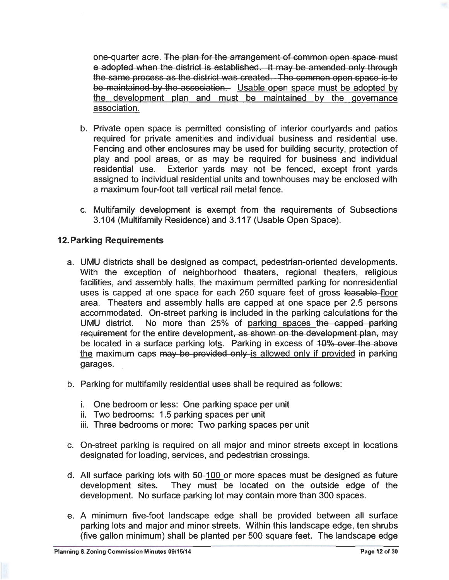one-quarter acre. The plan for the arrangement of common open space must e adopted when the district is established. It may be amended only through the same process as the district was created. The common open space is to be maintained by the association. Usable open space must be adopted by the development plan and must be maintained by the governance association.

- b. Private open space is permitted consisting of interior courtyards and patios required for private amenities and individual business and residential use. Fencing and other enclosures may be used for building security, protection of play and pool areas, or as may be required for business and individual residential use. Exterior yards may not be fenced, except front yards assigned to individual residential units and townhouses may be enclosed with a maximum four-foot tall vertical rail metal fence.
- c. Multifamily development is exempt from the requirements of Subsections 3.104 (Multifamily Residence) and 3.117 (Usable Open Space).

# **12. Parking Requirements**

- a. UMU districts shall be designed as compact, pedestrian-oriented developments. With the exception of neighborhood theaters, regional theaters, religious facilities, and assembly halls, the maximum permitted parking for nonresidential uses is capped at one space for each 250 square feet of gross leasable floor area. Theaters and assembly halls are capped at one space per 2.5 persons accommodated. On-street parking is included in the parking calculations for the UMU district. No more than 25% of parking spaces the capped parking requirement for the entire development<del>, as shown on the development plan,</del> may be located in a surface parking lots. Parking in excess of 40% over the above the maximum caps may be provided only is allowed only if provided in parking garages.
- b. Parking for multifamily residential uses shall be required as follows:
	- i. One bedroom or less: One parking space per unit
	- ii. Two bedrooms: 1.5 parking spaces per unit
	- iii. Three bedrooms or more: Two parking spaces per unit
- c. On-street parking is required on all major and minor streets except in locations designated for loading, services, and pedestrian crossings.
- d. All surface parking lots with  $50-100$  or more spaces must be designed as future development sites. They must be located on the outside edge of the development. No surface parking lot may contain more than 300 spaces.
- e. A minimum five-foot landscape edge shall be provided between all surface parking lots and major and minor streets. Within this landscape edge, ten shrubs (five gallon minimum) shall be planted per 500 square feet. The landscape edge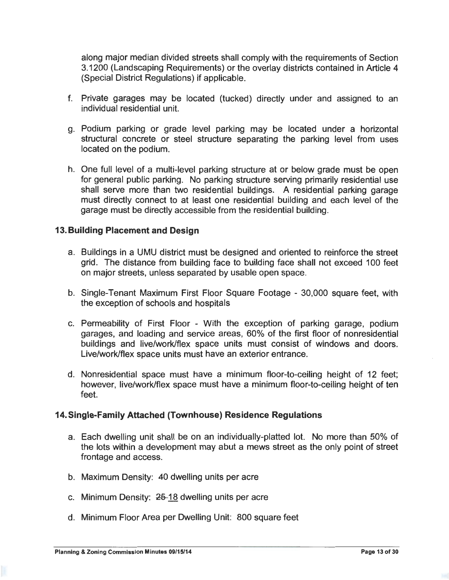along major median divided streets shall comply with the requirements of Section 3.1200 (Landscaping Requirements) or the overlay districts contained in Article 4 (Special District Regulations) if applicable.

- f. Private garages may be located (tucked) directly under and assigned to an individual residential unit.
- g. Podium parking or grade level parking may be located under a horizontal structural concrete or steel structure separating the parking level from uses located on the podium.
- h. One full level of a multi-level parking structure at or below grade must be open for general public parking. No parking structure serving primarily residential use shall serve more than two residential buildings. A residential parking garage must directly connect to at least one residential building and each level of the garage must be directly accessible from the residential building.

## **13. Building Placement and Design**

- a. Buildings in a UMU district must be designed and oriented to reinforce the street grid. The distance from building face to building face shall not exceed 100 feet on major streets, unless separated by usable open space.
- b. Single-Tenant Maximum First Floor Square Footage 30,000 square feet, with the exception of schools and hospitals
- c. Permeability of First Floor With the exception of parking garage, podium garages, and loading and service areas, 60% of the first floor of nonresidential buildings and live/work/flex space units must consist of windows and doors. Live/work/flex space units must have an exterior entrance.
- d. Nonresidential space must have a minimum floor-to-ceiling height of 12 feet; however, live/work/flex space must have a minimum floor-to-ceiling height of ten feet.

#### **14.Single-Family Attached (Townhouse) Residence Regulations**

- a. Each dwelling unit shall be on an individually-platted lot. No more than 50% of the lots within a development may abut a mews street as the only point of street frontage and access.
- b. Maximum Density: 40 dwelling units per acre
- c. Minimum Density:  $25-18$  dwelling units per acre
- d. Minimum Floor Area per Dwelling Unit: 800 square feet